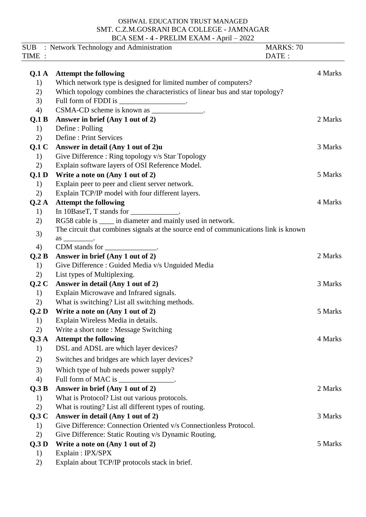## OSHWAL EDUCATION TRUST MANAGED SMT. C.Z.M.GOSRANI BCA COLLEGE - JAMNAGAR BCA SEM - 4 - PRELIM EXAM - April – 2022

|                  | SUB : Network Technology and Administration                                                              | <b>MARKS: 70</b> |
|------------------|----------------------------------------------------------------------------------------------------------|------------------|
| TIME :           |                                                                                                          | DATE:            |
| Q <sub>1</sub> A | <b>Attempt the following</b>                                                                             | 4 Marks          |
| 1)               | Which network type is designed for limited number of computers?                                          |                  |
|                  |                                                                                                          |                  |
| 2)               | Which topology combines the characteristics of linear bus and star topology?                             |                  |
| 3)               | Full form of FDDI is ___________________.                                                                |                  |
| 4)               | CSMA-CD scheme is known as _____________.                                                                |                  |
| Q.1 B            | Answer in brief (Any 1 out of 2)                                                                         | 2 Marks          |
| 1)               | Define: Polling                                                                                          |                  |
| 2)               | Define: Print Services                                                                                   |                  |
| Q.1C             | Answer in detail (Any 1 out of 2)u                                                                       | 3 Marks          |
| 1)               | Give Difference: Ring topology v/s Star Topology                                                         |                  |
| 2)               | Explain software layers of OSI Reference Model.                                                          |                  |
| Q.1D             | Write a note on (Any 1 out of 2)                                                                         | 5 Marks          |
| 1)               | Explain peer to peer and client server network.                                                          |                  |
| 2)               | Explain TCP/IP model with four different layers.                                                         |                  |
| Q.2A             | <b>Attempt the following</b>                                                                             | 4 Marks          |
| 1)               | In 10BaseT, T stands for ______________.                                                                 |                  |
| 2)               | RG58 cable is _____ in diameter and mainly used in network.                                              |                  |
| 3)               | The circuit that combines signals at the source end of communications link is known<br>$\frac{as \_\_$ . |                  |
| 4)               | CDM stands for _______________.                                                                          |                  |
| Q.2 B            | Answer in brief (Any 1 out of 2)                                                                         | 2 Marks          |
| 1)               | Give Difference : Guided Media v/s Unguided Media                                                        |                  |
| 2)               | List types of Multiplexing.                                                                              |                  |
| Q.2C             | Answer in detail (Any 1 out of 2)                                                                        | 3 Marks          |
| 1)               | Explain Microwave and Infrared signals.                                                                  |                  |
| 2)               | What is switching? List all switching methods.                                                           |                  |
| Q.2 D            | Write a note on (Any 1 out of 2)                                                                         | 5 Marks          |
| 1)               | Explain Wireless Media in details.                                                                       |                  |
| 2)               | Write a short note: Message Switching                                                                    |                  |
| Q.3A             | <b>Attempt the following</b>                                                                             | 4 Marks          |
| 1)               | DSL and ADSL are which layer devices?                                                                    |                  |
| 2)               | Switches and bridges are which layer devices?                                                            |                  |
| 3)               | Which type of hub needs power supply?                                                                    |                  |
| 4)               | Full form of MAC is _______________.                                                                     |                  |
| Q.3B             | Answer in brief (Any 1 out of 2)                                                                         | 2 Marks          |
| 1)               | What is Protocol? List out various protocols.                                                            |                  |
| 2)               | What is routing? List all different types of routing.                                                    |                  |
| Q.3C             | Answer in detail (Any 1 out of 2)                                                                        | 3 Marks          |
| 1)               | Give Difference: Connection Oriented v/s Connectionless Protocol.                                        |                  |
| 2)               | Give Difference: Static Routing v/s Dynamic Routing.                                                     |                  |
| Q.3 D            | Write a note on (Any 1 out of 2)                                                                         | 5 Marks          |
| 1)               | Explain: IPX/SPX                                                                                         |                  |
| 2)               | Explain about TCP/IP protocols stack in brief.                                                           |                  |